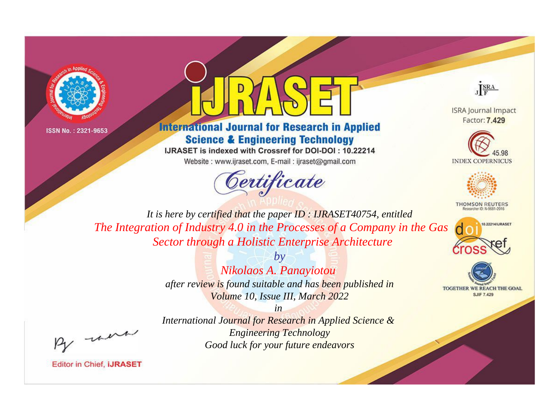

ISSN No.: 2321-9653



## **International Journal for Research in Applied Science & Engineering Technology**

IJRASET is indexed with Crossref for DOI-DOI: 10.22214 Website: www.ijraset.com, E-mail: ijraset@gmail.com



JERA

**ISRA Journal Impact** Factor: 7.429





**THOMSON REUTERS** 



TOGETHER WE REACH THE GOAL **SJIF 7.429** 

*It is here by certified that the paper ID : IJRASET40754, entitled The Integration of Industry 4.0 in the Processes of a Company in the Gas Sector through a Holistic Enterprise Architecture*

> *by Nikolaos A. Panayiotou after review is found suitable and has been published in Volume 10, Issue III, March 2022*

, un

*International Journal for Research in Applied Science & Engineering Technology Good luck for your future endeavors*

*in* 

**Editor in Chief, IJRASET**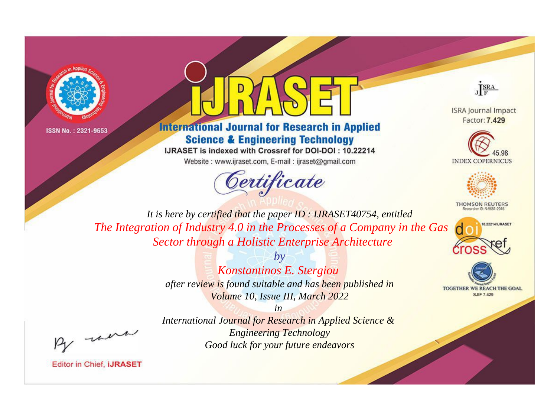

ISSN No.: 2321-9653



## **International Journal for Research in Applied Science & Engineering Technology**

IJRASET is indexed with Crossref for DOI-DOI: 10.22214 Website: www.ijraset.com, E-mail: ijraset@gmail.com



JERA

**ISRA Journal Impact** Factor: 7.429





**THOMSON REUTERS** 



TOGETHER WE REACH THE GOAL **SJIF 7.429** 

*It is here by certified that the paper ID : IJRASET40754, entitled The Integration of Industry 4.0 in the Processes of a Company in the Gas Sector through a Holistic Enterprise Architecture*

> *by Konstantinos E. Stergiou after review is found suitable and has been published in Volume 10, Issue III, March 2022*

were

*International Journal for Research in Applied Science & Engineering Technology Good luck for your future endeavors*

*in* 

**Editor in Chief, IJRASET**